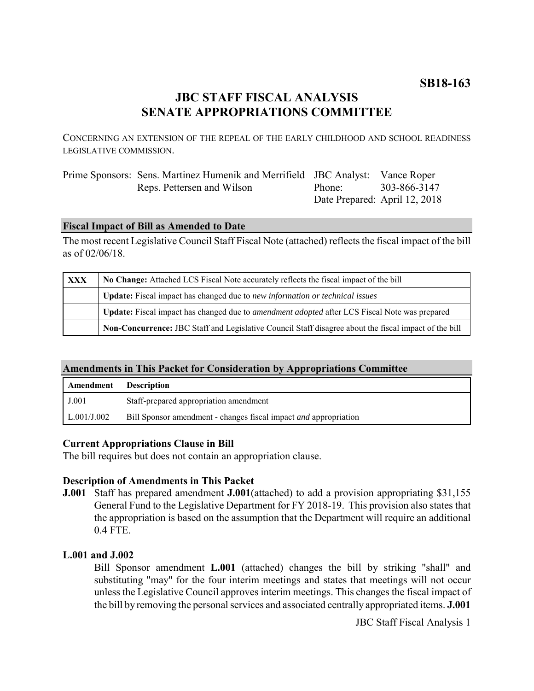# **JBC STAFF FISCAL ANALYSIS SENATE APPROPRIATIONS COMMITTEE**

CONCERNING AN EXTENSION OF THE REPEAL OF THE EARLY CHILDHOOD AND SCHOOL READINESS LEGISLATIVE COMMISSION.

| Prime Sponsors: Sens. Martinez Humenik and Merrifield JBC Analyst: Vance Roper |                    |                               |
|--------------------------------------------------------------------------------|--------------------|-------------------------------|
| Reps. Pettersen and Wilson                                                     | Phone <sup>-</sup> | 303-866-3147                  |
|                                                                                |                    | Date Prepared: April 12, 2018 |

# **Fiscal Impact of Bill as Amended to Date**

The most recent Legislative Council Staff Fiscal Note (attached) reflects the fiscal impact of the bill as of 02/06/18.

| <b>XXX</b> | No Change: Attached LCS Fiscal Note accurately reflects the fiscal impact of the bill                       |  |
|------------|-------------------------------------------------------------------------------------------------------------|--|
|            | <b>Update:</b> Fiscal impact has changed due to new information or technical issues                         |  |
|            | <b>Update:</b> Fiscal impact has changed due to <i>amendment adopted</i> after LCS Fiscal Note was prepared |  |
|            | Non-Concurrence: JBC Staff and Legislative Council Staff disagree about the fiscal impact of the bill       |  |

### **Amendments in This Packet for Consideration by Appropriations Committee**

| Amendment   | <b>Description</b>                                                      |
|-------------|-------------------------------------------------------------------------|
| J.001       | Staff-prepared appropriation amendment                                  |
| L.001/J.002 | Bill Sponsor amendment - changes fiscal impact <i>and</i> appropriation |

# **Current Appropriations Clause in Bill**

The bill requires but does not contain an appropriation clause.

# **Description of Amendments in This Packet**

**J.001** Staff has prepared amendment **J.001**(attached) to add a provision appropriating \$31,155 General Fund to the Legislative Department for FY 2018-19. This provision also states that the appropriation is based on the assumption that the Department will require an additional 0.4 FTE.

### **L.001 and J.002**

Bill Sponsor amendment **L.001** (attached) changes the bill by striking "shall" and substituting "may" for the four interim meetings and states that meetings will not occur unless the Legislative Council approves interim meetings. This changes the fiscal impact of the bill by removing the personal services and associated centrally appropriated items. **J.001**

JBC Staff Fiscal Analysis 1